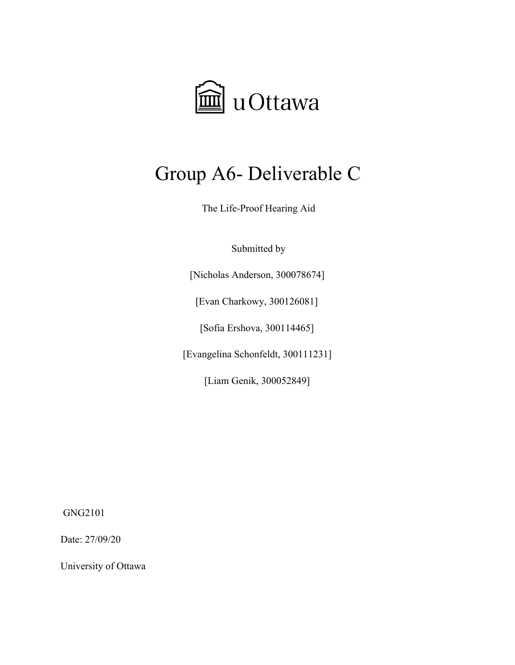

# Group A6- Deliverable C

The Life-Proof Hearing Aid

Submitted by

[Nicholas Anderson, 300078674]

[Evan Charkowy, 300126081]

[Sofia Ershova, 300114465]

[Evangelina Schonfeldt, 300111231]

[Liam Genik, 300052849]

GNG2101

Date: 27/09/20

University of Ottawa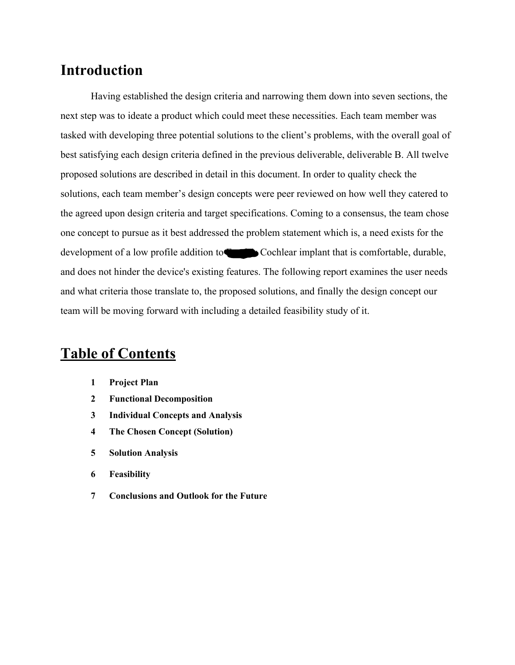### **Introduction**

Having established the design criteria and narrowing them down into seven sections, the next step was to ideate a product which could meet these necessities. Each team member was tasked with developing three potential solutions to the client's problems, with the overall goal of best satisfying each design criteria defined in the previous deliverable, deliverable B. All twelve proposed solutions are described in detail in this document. In order to quality check the solutions, each team member's design concepts were peer reviewed on how well they catered to the agreed upon design criteria and target specifications. Coming to a consensus, the team chose one concept to pursue as it best addressed the problem statement which is, a need exists for the development of a low profile addition to **Free** Cochlear implant that is comfortable, durable, and does not hinder the device's existing features. The following report examines the user needs and what criteria those translate to, the proposed solutions, and finally the design concept our team will be moving forward with including a detailed feasibility study of it.

### **Table of Contents**

- **1 Project Plan**
- **2 Functional Decomposition**
- **3 Individual Concepts and Analysis**
- **4 The Chosen Concept [\(Solution\)](#page-14-0)**
- **5 Solution [Analysis](#page-15-0)**
- **6 Feasibility**
- **7 [Conclusions](#page-18-0) and Outlook for the Future**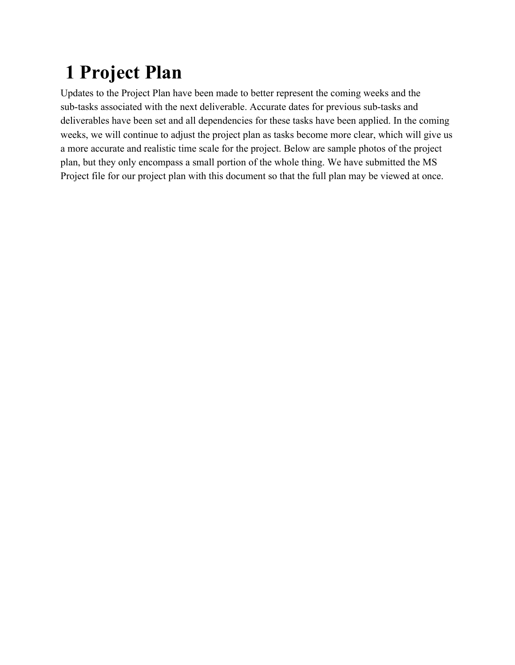# **1 Project Plan**

Updates to the Project Plan have been made to better represent the coming weeks and the sub-tasks associated with the next deliverable. Accurate dates for previous sub-tasks and deliverables have been set and all dependencies for these tasks have been applied. In the coming weeks, we will continue to adjust the project plan as tasks become more clear, which will give us a more accurate and realistic time scale for the project. Below are sample photos of the project plan, but they only encompass a small portion of the whole thing. We have submitted the MS Project file for our project plan with this document so that the full plan may be viewed at once.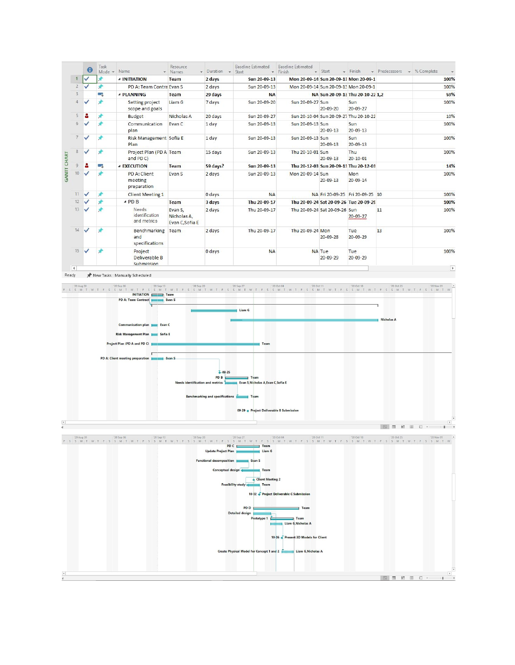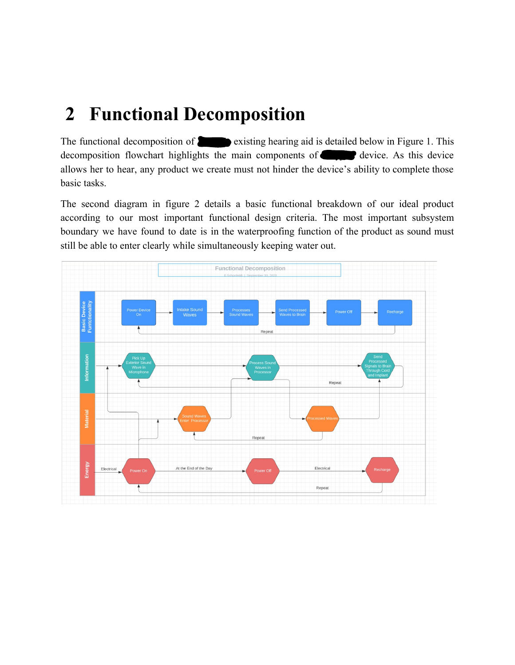## **2 Functional Decomposition**

The functional decomposition of  $\bullet$  existing hearing aid is detailed below in Figure 1. This decomposition flowchart highlights the main components of  $\blacksquare$  device. As this device allows her to hear, any product we create must not hinder the device's ability to complete those basic tasks.

The second diagram in figure 2 details a basic functional breakdown of our ideal product according to our most important functional design criteria. The most important subsystem boundary we have found to date is in the waterproofing function of the product as sound must still be able to enter clearly while simultaneously keeping water out.

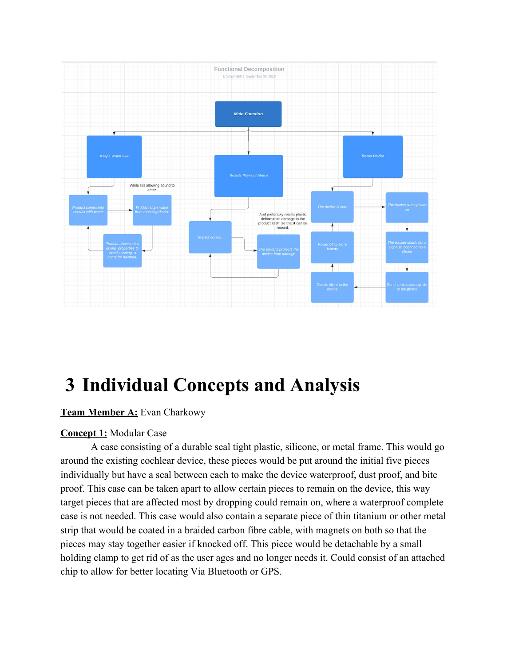

# **3 Individual Concepts and Analysis**

#### **Team Member A:** Evan Charkowy

#### **Concept 1:** Modular Case

A case consisting of a durable seal tight plastic, silicone, or metal frame. This would go around the existing cochlear device, these pieces would be put around the initial five pieces individually but have a seal between each to make the device waterproof, dust proof, and bite proof. This case can be taken apart to allow certain pieces to remain on the device, this way target pieces that are affected most by dropping could remain on, where a waterproof complete case is not needed. This case would also contain a separate piece of thin titanium or other metal strip that would be coated in a braided carbon fibre cable, with magnets on both so that the pieces may stay together easier if knocked off. This piece would be detachable by a small holding clamp to get rid of as the user ages and no longer needs it. Could consist of an attached chip to allow for better locating Via Bluetooth or GPS.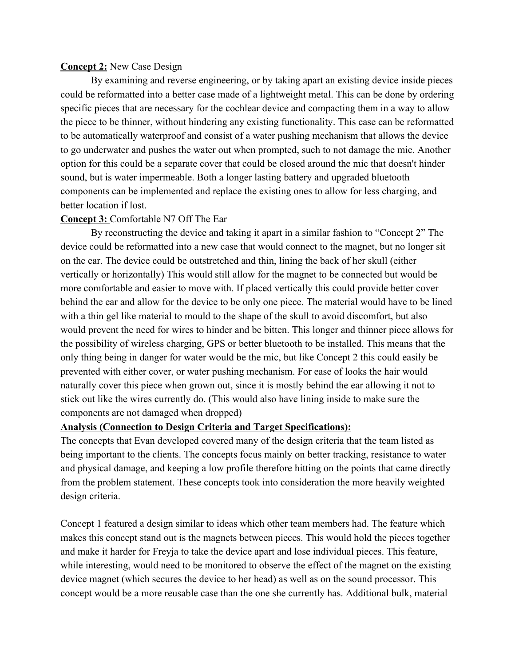#### **Concept 2:** New Case Design

By examining and reverse engineering, or by taking apart an existing device inside pieces could be reformatted into a better case made of a lightweight metal. This can be done by ordering specific pieces that are necessary for the cochlear device and compacting them in a way to allow the piece to be thinner, without hindering any existing functionality. This case can be reformatted to be automatically waterproof and consist of a water pushing mechanism that allows the device to go underwater and pushes the water out when prompted, such to not damage the mic. Another option for this could be a separate cover that could be closed around the mic that doesn't hinder sound, but is water impermeable. Both a longer lasting battery and upgraded bluetooth components can be implemented and replace the existing ones to allow for less charging, and better location if lost.

#### **Concept 3:** Comfortable N7 Off The Ear

By reconstructing the device and taking it apart in a similar fashion to "Concept 2" The device could be reformatted into a new case that would connect to the magnet, but no longer sit on the ear. The device could be outstretched and thin, lining the back of her skull (either vertically or horizontally) This would still allow for the magnet to be connected but would be more comfortable and easier to move with. If placed vertically this could provide better cover behind the ear and allow for the device to be only one piece. The material would have to be lined with a thin gel like material to mould to the shape of the skull to avoid discomfort, but also would prevent the need for wires to hinder and be bitten. This longer and thinner piece allows for the possibility of wireless charging, GPS or better bluetooth to be installed. This means that the only thing being in danger for water would be the mic, but like Concept 2 this could easily be prevented with either cover, or water pushing mechanism. For ease of looks the hair would naturally cover this piece when grown out, since it is mostly behind the ear allowing it not to stick out like the wires currently do. (This would also have lining inside to make sure the components are not damaged when dropped)

#### **Analysis (Connection to Design Criteria and Target Specifications):**

The concepts that Evan developed covered many of the design criteria that the team listed as being important to the clients. The concepts focus mainly on better tracking, resistance to water and physical damage, and keeping a low profile therefore hitting on the points that came directly from the problem statement. These concepts took into consideration the more heavily weighted design criteria.

Concept 1 featured a design similar to ideas which other team members had. The feature which makes this concept stand out is the magnets between pieces. This would hold the pieces together and make it harder for Freyja to take the device apart and lose individual pieces. This feature, while interesting, would need to be monitored to observe the effect of the magnet on the existing device magnet (which secures the device to her head) as well as on the sound processor. This concept would be a more reusable case than the one she currently has. Additional bulk, material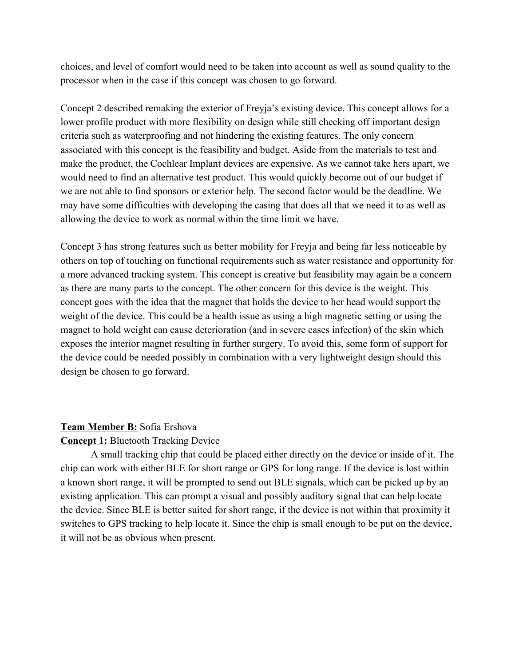choices, and level of comfort would need to be taken into account as well as sound quality to the processor when in the case if this concept was chosen to go forward.

Concept 2 described remaking the exterior of Freyja's existing device. This concept allows for a lower profile product with more flexibility on design while still checking off important design criteria such as waterproofing and not hindering the existing features. The only concern associated with this concept is the feasibility and budget. Aside from the materials to test and make the product, the Cochlear Implant devices are expensive. As we cannot take hers apart, we would need to find an alternative test product. This would quickly become out of our budget if we are not able to find sponsors or exterior help. The second factor would be the deadline. We may have some difficulties with developing the casing that does all that we need it to as well as allowing the device to work as normal within the time limit we have.

Concept 3 has strong features such as better mobility for Freyja and being far less noticeable by others on top of touching on functional requirements such as water resistance and opportunity for a more advanced tracking system. This concept is creative but feasibility may again be a concern as there are many parts to the concept. The other concern for this device is the weight. This concept goes with the idea that the magnet that holds the device to her head would support the weight of the device. This could be a health issue as using a high magnetic setting or using the magnet to hold weight can cause deterioration (and in severe cases infection) of the skin which exposes the interior magnet resulting in further surgery. To avoid this, some form of support for the device could be needed possibly in combination with a very lightweight design should this design be chosen to go forward.

#### **Team Member B:** Sofia Ershova

#### **Concept 1:** Bluetooth Tracking Device

A small tracking chip that could be placed either directly on the device or inside of it. The chip can work with either BLE for short range or GPS for long range. If the device is lost within a known short range, it will be prompted to send out BLE signals, which can be picked up by an existing application. This can prompt a visual and possibly auditory signal that can help locate the device. Since BLE is better suited for short range, if the device is not within that proximity it switches to GPS tracking to help locate it. Since the chip is small enough to be put on the device, it will not be as obvious when present.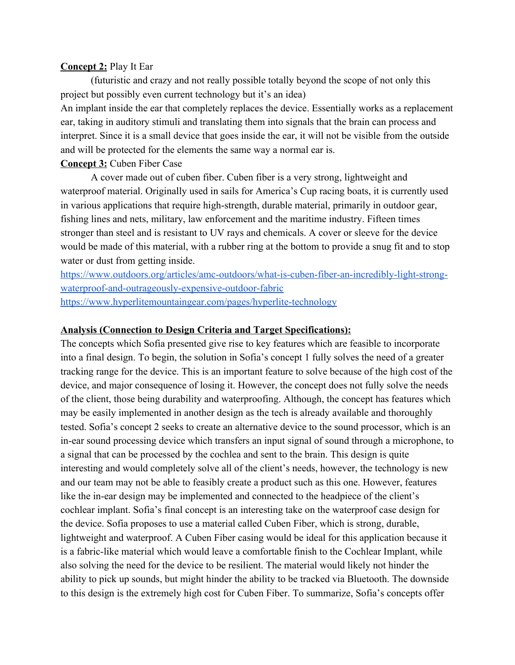#### **Concept 2:** Play It Ear

(futuristic and crazy and not really possible totally beyond the scope of not only this project but possibly even current technology but it's an idea)

An implant inside the ear that completely replaces the device. Essentially works as a replacement ear, taking in auditory stimuli and translating them into signals that the brain can process and interpret. Since it is a small device that goes inside the ear, it will not be visible from the outside and will be protected for the elements the same way a normal ear is.

#### **Concept 3:** Cuben Fiber Case

A cover made out of cuben fiber. Cuben fiber is a very strong, lightweight and waterproof material. Originally used in sails for America's Cup racing boats, it is currently used in various applications that require high-strength, durable material, primarily in outdoor gear, fishing lines and nets, military, law enforcement and the maritime industry. Fifteen times stronger than steel and is resistant to UV rays and chemicals. A cover or sleeve for the device would be made of this material, with a rubber ring at the bottom to provide a snug fit and to stop water or dust from getting inside.

[https://www.outdoors.org/articles/amc-outdoors/what-is-cuben-fiber-an-incredibly-light-strong](https://www.outdoors.org/articles/amc-outdoors/what-is-cuben-fiber-an-incredibly-light-strong-waterproof-and-outrageously-expensive-outdoor-fabric)[waterproof-and-outrageously-expensive-outdoor-fabric](https://www.outdoors.org/articles/amc-outdoors/what-is-cuben-fiber-an-incredibly-light-strong-waterproof-and-outrageously-expensive-outdoor-fabric)

<https://www.hyperlitemountaingear.com/pages/hyperlite-technology>

#### **Analysis (Connection to Design Criteria and Target Specifications):**

The concepts which Sofia presented give rise to key features which are feasible to incorporate into a final design. To begin, the solution in Sofia's concept 1 fully solves the need of a greater tracking range for the device. This is an important feature to solve because of the high cost of the device, and major consequence of losing it. However, the concept does not fully solve the needs of the client, those being durability and waterproofing. Although, the concept has features which may be easily implemented in another design as the tech is already available and thoroughly tested. Sofia's concept 2 seeks to create an alternative device to the sound processor, which is an in-ear sound processing device which transfers an input signal of sound through a microphone, to a signal that can be processed by the cochlea and sent to the brain. This design is quite interesting and would completely solve all of the client's needs, however, the technology is new and our team may not be able to feasibly create a product such as this one. However, features like the in-ear design may be implemented and connected to the headpiece of the client's cochlear implant. Sofia's final concept is an interesting take on the waterproof case design for the device. Sofia proposes to use a material called Cuben Fiber, which is strong, durable, lightweight and waterproof. A Cuben Fiber casing would be ideal for this application because it is a fabric-like material which would leave a comfortable finish to the Cochlear Implant, while also solving the need for the device to be resilient. The material would likely not hinder the ability to pick up sounds, but might hinder the ability to be tracked via Bluetooth. The downside to this design is the extremely high cost for Cuben Fiber. To summarize, Sofia's concepts offer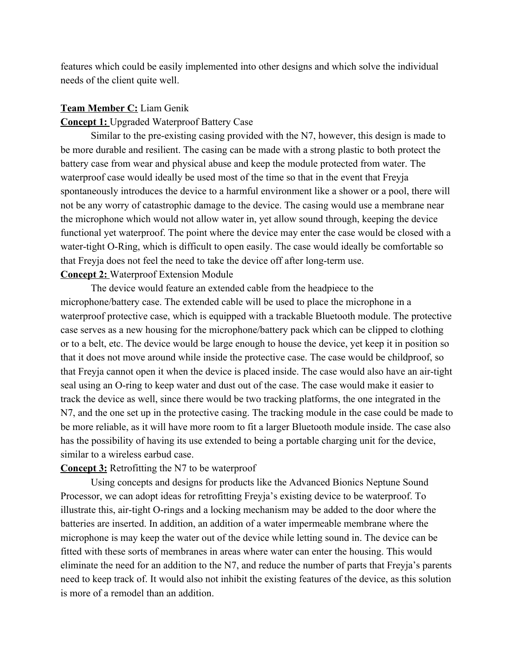features which could be easily implemented into other designs and which solve the individual needs of the client quite well.

#### **Team Member C:** Liam Genik

#### **Concept 1:** Upgraded Waterproof Battery Case

Similar to the pre-existing casing provided with the N7, however, this design is made to be more durable and resilient. The casing can be made with a strong plastic to both protect the battery case from wear and physical abuse and keep the module protected from water. The waterproof case would ideally be used most of the time so that in the event that Freyja spontaneously introduces the device to a harmful environment like a shower or a pool, there will not be any worry of catastrophic damage to the device. The casing would use a membrane near the microphone which would not allow water in, yet allow sound through, keeping the device functional yet waterproof. The point where the device may enter the case would be closed with a water-tight O-Ring, which is difficult to open easily. The case would ideally be comfortable so that Freyja does not feel the need to take the device off after long-term use.

#### **Concept 2:** Waterproof Extension Module

The device would feature an extended cable from the headpiece to the microphone/battery case. The extended cable will be used to place the microphone in a waterproof protective case, which is equipped with a trackable Bluetooth module. The protective case serves as a new housing for the microphone/battery pack which can be clipped to clothing or to a belt, etc. The device would be large enough to house the device, yet keep it in position so that it does not move around while inside the protective case. The case would be childproof, so that Freyja cannot open it when the device is placed inside. The case would also have an air-tight seal using an O-ring to keep water and dust out of the case. The case would make it easier to track the device as well, since there would be two tracking platforms, the one integrated in the N7, and the one set up in the protective casing. The tracking module in the case could be made to be more reliable, as it will have more room to fit a larger Bluetooth module inside. The case also has the possibility of having its use extended to being a portable charging unit for the device, similar to a wireless earbud case.

#### **Concept 3:** Retrofitting the N7 to be waterproof

Using concepts and designs for products like the Advanced Bionics Neptune Sound Processor, we can adopt ideas for retrofitting Freyja's existing device to be waterproof. To illustrate this, air-tight O-rings and a locking mechanism may be added to the door where the batteries are inserted. In addition, an addition of a water impermeable membrane where the microphone is may keep the water out of the device while letting sound in. The device can be fitted with these sorts of membranes in areas where water can enter the housing. This would eliminate the need for an addition to the N7, and reduce the number of parts that Freyja's parents need to keep track of. It would also not inhibit the existing features of the device, as this solution is more of a remodel than an addition.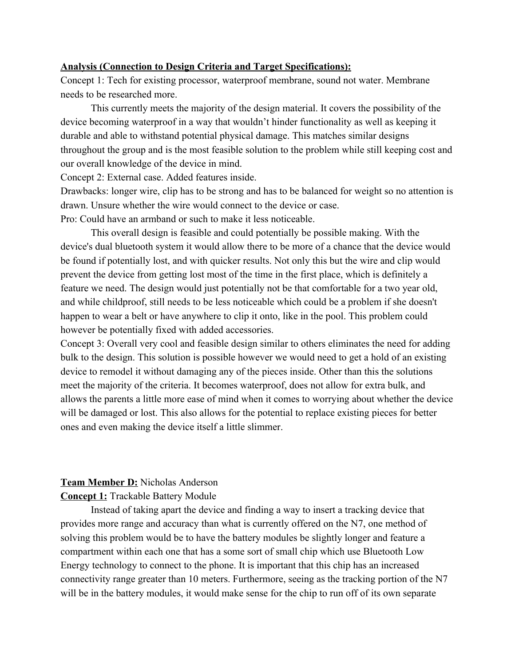#### **Analysis (Connection to Design Criteria and Target Specifications):**

Concept 1: Tech for existing processor, waterproof membrane, sound not water. Membrane needs to be researched more.

This currently meets the majority of the design material. It covers the possibility of the device becoming waterproof in a way that wouldn't hinder functionality as well as keeping it durable and able to withstand potential physical damage. This matches similar designs throughout the group and is the most feasible solution to the problem while still keeping cost and our overall knowledge of the device in mind.

Concept 2: External case. Added features inside.

Drawbacks: longer wire, clip has to be strong and has to be balanced for weight so no attention is drawn. Unsure whether the wire would connect to the device or case.

Pro: Could have an armband or such to make it less noticeable.

This overall design is feasible and could potentially be possible making. With the device's dual bluetooth system it would allow there to be more of a chance that the device would be found if potentially lost, and with quicker results. Not only this but the wire and clip would prevent the device from getting lost most of the time in the first place, which is definitely a feature we need. The design would just potentially not be that comfortable for a two year old, and while childproof, still needs to be less noticeable which could be a problem if she doesn't happen to wear a belt or have anywhere to clip it onto, like in the pool. This problem could however be potentially fixed with added accessories.

Concept 3: Overall very cool and feasible design similar to others eliminates the need for adding bulk to the design. This solution is possible however we would need to get a hold of an existing device to remodel it without damaging any of the pieces inside. Other than this the solutions meet the majority of the criteria. It becomes waterproof, does not allow for extra bulk, and allows the parents a little more ease of mind when it comes to worrying about whether the device will be damaged or lost. This also allows for the potential to replace existing pieces for better ones and even making the device itself a little slimmer.

#### **Team Member D:** Nicholas Anderson

#### **Concept 1:** Trackable Battery Module

Instead of taking apart the device and finding a way to insert a tracking device that provides more range and accuracy than what is currently offered on the N7, one method of solving this problem would be to have the battery modules be slightly longer and feature a compartment within each one that has a some sort of small chip which use Bluetooth Low Energy technology to connect to the phone. It is important that this chip has an increased connectivity range greater than 10 meters. Furthermore, seeing as the tracking portion of the N7 will be in the battery modules, it would make sense for the chip to run off of its own separate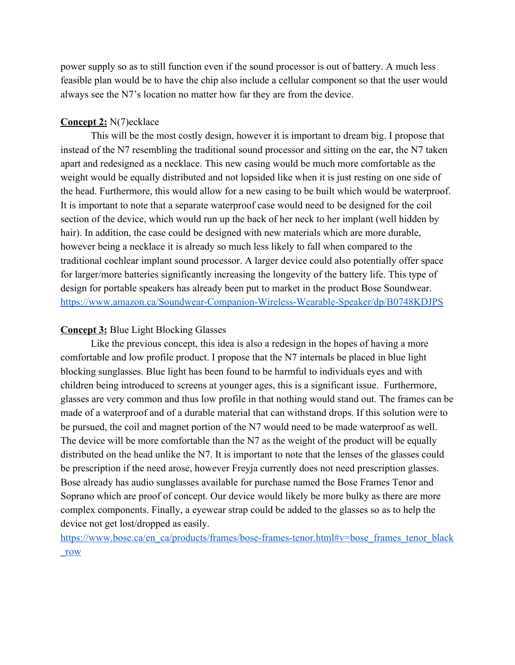power supply so as to still function even if the sound processor is out of battery. A much less feasible plan would be to have the chip also include a cellular component so that the user would always see the N7's location no matter how far they are from the device.

#### **Concept 2:** N(7)ecklace

This will be the most costly design, however it is important to dream big. I propose that instead of the N7 resembling the traditional sound processor and sitting on the ear, the N7 taken apart and redesigned as a necklace. This new casing would be much more comfortable as the weight would be equally distributed and not lopsided like when it is just resting on one side of the head. Furthermore, this would allow for a new casing to be built which would be waterproof. It is important to note that a separate waterproof case would need to be designed for the coil section of the device, which would run up the back of her neck to her implant (well hidden by hair). In addition, the case could be designed with new materials which are more durable, however being a necklace it is already so much less likely to fall when compared to the traditional cochlear implant sound processor. A larger device could also potentially offer space for larger/more batteries significantly increasing the longevity of the battery life. This type of design for portable speakers has already been put to market in the product Bose Soundwear. <https://www.amazon.ca/Soundwear-Companion-Wireless-Wearable-Speaker/dp/B0748KDJPS>

#### **Concept 3:** Blue Light Blocking Glasses

Like the previous concept, this idea is also a redesign in the hopes of having a more comfortable and low profile product. I propose that the N7 internals be placed in blue light blocking sunglasses. Blue light has been found to be harmful to individuals eyes and with children being introduced to screens at younger ages, this is a significant issue. Furthermore, glasses are very common and thus low profile in that nothing would stand out. The frames can be made of a waterproof and of a durable material that can withstand drops. If this solution were to be pursued, the coil and magnet portion of the N7 would need to be made waterproof as well. The device will be more comfortable than the N7 as the weight of the product will be equally distributed on the head unlike the N7. It is important to note that the lenses of the glasses could be prescription if the need arose, however Freyja currently does not need prescription glasses. Bose already has audio sunglasses available for purchase named the Bose Frames Tenor and Soprano which are proof of concept. Our device would likely be more bulky as there are more complex components. Finally, a eyewear strap could be added to the glasses so as to help the device not get lost/dropped as easily.

[https://www.bose.ca/en\\_ca/products/frames/bose-frames-tenor.html#v=bose\\_frames\\_tenor\\_black](https://www.bose.ca/en_ca/products/frames/bose-frames-tenor.html#v=bose_frames_tenor_black_row) [\\_row](https://www.bose.ca/en_ca/products/frames/bose-frames-tenor.html#v=bose_frames_tenor_black_row)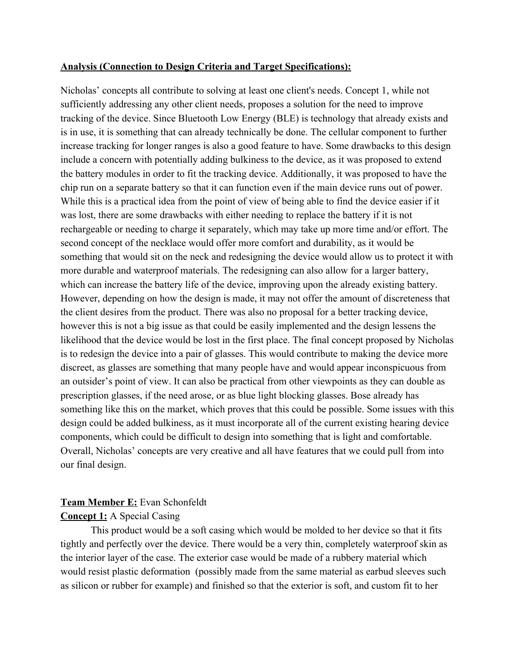#### **Analysis (Connection to Design Criteria and Target Specifications):**

Nicholas' concepts all contribute to solving at least one client's needs. Concept 1, while not sufficiently addressing any other client needs, proposes a solution for the need to improve tracking of the device. Since Bluetooth Low Energy (BLE) is technology that already exists and is in use, it is something that can already technically be done. The cellular component to further increase tracking for longer ranges is also a good feature to have. Some drawbacks to this design include a concern with potentially adding bulkiness to the device, as it was proposed to extend the battery modules in order to fit the tracking device. Additionally, it was proposed to have the chip run on a separate battery so that it can function even if the main device runs out of power. While this is a practical idea from the point of view of being able to find the device easier if it was lost, there are some drawbacks with either needing to replace the battery if it is not rechargeable or needing to charge it separately, which may take up more time and/or effort. The second concept of the necklace would offer more comfort and durability, as it would be something that would sit on the neck and redesigning the device would allow us to protect it with more durable and waterproof materials. The redesigning can also allow for a larger battery, which can increase the battery life of the device, improving upon the already existing battery. However, depending on how the design is made, it may not offer the amount of discreteness that the client desires from the product. There was also no proposal for a better tracking device, however this is not a big issue as that could be easily implemented and the design lessens the likelihood that the device would be lost in the first place. The final concept proposed by Nicholas is to redesign the device into a pair of glasses. This would contribute to making the device more discreet, as glasses are something that many people have and would appear inconspicuous from an outsider's point of view. It can also be practical from other viewpoints as they can double as prescription glasses, if the need arose, or as blue light blocking glasses. Bose already has something like this on the market, which proves that this could be possible. Some issues with this design could be added bulkiness, as it must incorporate all of the current existing hearing device components, which could be difficult to design into something that is light and comfortable. Overall, Nicholas' concepts are very creative and all have features that we could pull from into our final design.

#### **Team Member E:** Evan Schonfeldt

#### **Concept 1:** A Special Casing

This product would be a soft casing which would be molded to her device so that it fits tightly and perfectly over the device. There would be a very thin, completely waterproof skin as the interior layer of the case. The exterior case would be made of a rubbery material which would resist plastic deformation (possibly made from the same material as earbud sleeves such as silicon or rubber for example) and finished so that the exterior is soft, and custom fit to her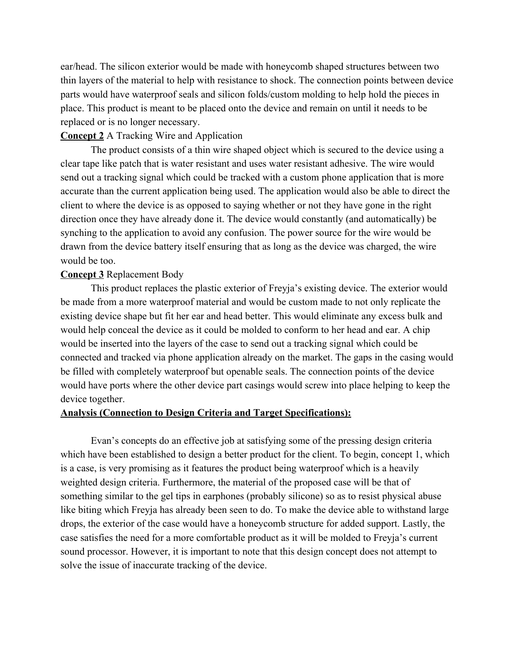ear/head. The silicon exterior would be made with honeycomb shaped structures between two thin layers of the material to help with resistance to shock. The connection points between device parts would have waterproof seals and silicon folds/custom molding to help hold the pieces in place. This product is meant to be placed onto the device and remain on until it needs to be replaced or is no longer necessary.

#### **Concept 2** A Tracking Wire and Application

The product consists of a thin wire shaped object which is secured to the device using a clear tape like patch that is water resistant and uses water resistant adhesive. The wire would send out a tracking signal which could be tracked with a custom phone application that is more accurate than the current application being used. The application would also be able to direct the client to where the device is as opposed to saying whether or not they have gone in the right direction once they have already done it. The device would constantly (and automatically) be synching to the application to avoid any confusion. The power source for the wire would be drawn from the device battery itself ensuring that as long as the device was charged, the wire would be too.

#### **Concept 3** Replacement Body

This product replaces the plastic exterior of Freyja's existing device. The exterior would be made from a more waterproof material and would be custom made to not only replicate the existing device shape but fit her ear and head better. This would eliminate any excess bulk and would help conceal the device as it could be molded to conform to her head and ear. A chip would be inserted into the layers of the case to send out a tracking signal which could be connected and tracked via phone application already on the market. The gaps in the casing would be filled with completely waterproof but openable seals. The connection points of the device would have ports where the other device part casings would screw into place helping to keep the device together.

#### **Analysis (Connection to Design Criteria and Target Specifications):**

Evan's concepts do an effective job at satisfying some of the pressing design criteria which have been established to design a better product for the client. To begin, concept 1, which is a case, is very promising as it features the product being waterproof which is a heavily weighted design criteria. Furthermore, the material of the proposed case will be that of something similar to the gel tips in earphones (probably silicone) so as to resist physical abuse like biting which Freyja has already been seen to do. To make the device able to withstand large drops, the exterior of the case would have a honeycomb structure for added support. Lastly, the case satisfies the need for a more comfortable product as it will be molded to Freyja's current sound processor. However, it is important to note that this design concept does not attempt to solve the issue of inaccurate tracking of the device.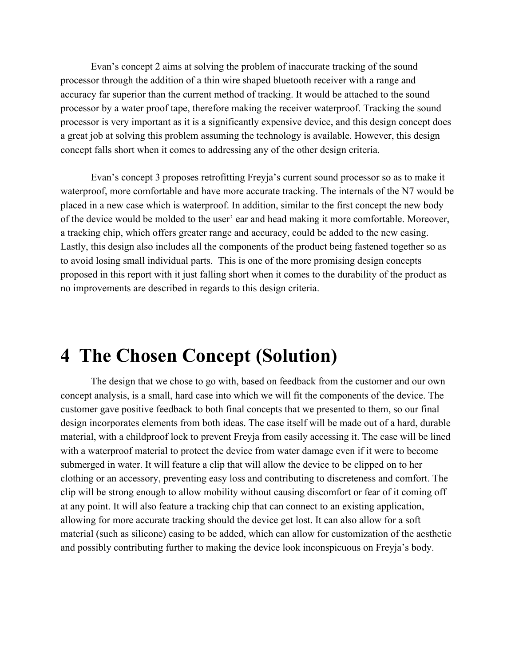Evan's concept 2 aims at solving the problem of inaccurate tracking of the sound processor through the addition of a thin wire shaped bluetooth receiver with a range and accuracy far superior than the current method of tracking. It would be attached to the sound processor by a water proof tape, therefore making the receiver waterproof. Tracking the sound processor is very important as it is a significantly expensive device, and this design concept does a great job at solving this problem assuming the technology is available. However, this design concept falls short when it comes to addressing any of the other design criteria.

Evan's concept 3 proposes retrofitting Freyja's current sound processor so as to make it waterproof, more comfortable and have more accurate tracking. The internals of the N7 would be placed in a new case which is waterproof. In addition, similar to the first concept the new body of the device would be molded to the user' ear and head making it more comfortable. Moreover, a tracking chip, which offers greater range and accuracy, could be added to the new casing. Lastly, this design also includes all the components of the product being fastened together so as to avoid losing small individual parts. This is one of the more promising design concepts proposed in this report with it just falling short when it comes to the durability of the product as no improvements are described in regards to this design criteria.

### <span id="page-14-0"></span>**4 The Chosen Concept (Solution)**

The design that we chose to go with, based on feedback from the customer and our own concept analysis, is a small, hard case into which we will fit the components of the device. The customer gave positive feedback to both final concepts that we presented to them, so our final design incorporates elements from both ideas. The case itself will be made out of a hard, durable material, with a childproof lock to prevent Freyja from easily accessing it. The case will be lined with a waterproof material to protect the device from water damage even if it were to become submerged in water. It will feature a clip that will allow the device to be clipped on to her clothing or an accessory, preventing easy loss and contributing to discreteness and comfort. The clip will be strong enough to allow mobility without causing discomfort or fear of it coming off at any point. It will also feature a tracking chip that can connect to an existing application, allowing for more accurate tracking should the device get lost. It can also allow for a soft material (such as silicone) casing to be added, which can allow for customization of the aesthetic and possibly contributing further to making the device look inconspicuous on Freyja's body.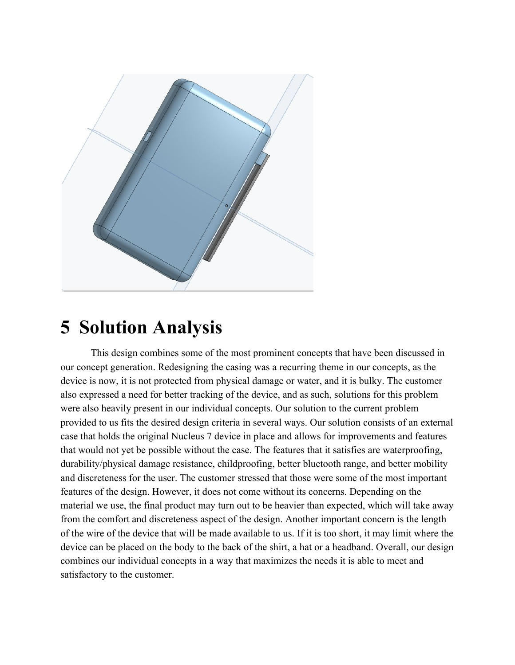

## <span id="page-15-0"></span>**5 Solution Analysis**

This design combines some of the most prominent concepts that have been discussed in our concept generation. Redesigning the casing was a recurring theme in our concepts, as the device is now, it is not protected from physical damage or water, and it is bulky. The customer also expressed a need for better tracking of the device, and as such, solutions for this problem were also heavily present in our individual concepts. Our solution to the current problem provided to us fits the desired design criteria in several ways. Our solution consists of an external case that holds the original Nucleus 7 device in place and allows for improvements and features that would not yet be possible without the case. The features that it satisfies are waterproofing, durability/physical damage resistance, childproofing, better bluetooth range, and better mobility and discreteness for the user. The customer stressed that those were some of the most important features of the design. However, it does not come without its concerns. Depending on the material we use, the final product may turn out to be heavier than expected, which will take away from the comfort and discreteness aspect of the design. Another important concern is the length of the wire of the device that will be made available to us. If it is too short, it may limit where the device can be placed on the body to the back of the shirt, a hat or a headband. Overall, our design combines our individual concepts in a way that maximizes the needs it is able to meet and satisfactory to the customer.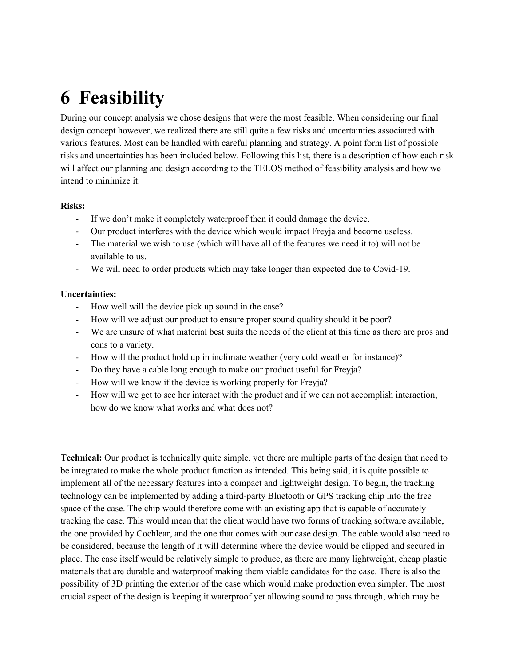# **6 Feasibility**

During our concept analysis we chose designs that were the most feasible. When considering our final design concept however, we realized there are still quite a few risks and uncertainties associated with various features. Most can be handled with careful planning and strategy. A point form list of possible risks and uncertainties has been included below. Following this list, there is a description of how each risk will affect our planning and design according to the TELOS method of feasibility analysis and how we intend to minimize it.

#### **Risks:**

- If we don't make it completely waterproof then it could damage the device.
- Our product interferes with the device which would impact Freyja and become useless.
- The material we wish to use (which will have all of the features we need it to) will not be available to us.
- We will need to order products which may take longer than expected due to Covid-19.

#### **Uncertainties:**

- How well will the device pick up sound in the case?
- How will we adjust our product to ensure proper sound quality should it be poor?
- We are unsure of what material best suits the needs of the client at this time as there are pros and cons to a variety.
- How will the product hold up in inclimate weather (very cold weather for instance)?
- Do they have a cable long enough to make our product useful for Freyja?
- How will we know if the device is working properly for Freyja?
- How will we get to see her interact with the product and if we can not accomplish interaction, how do we know what works and what does not?

**Technical:** Our product is technically quite simple, yet there are multiple parts of the design that need to be integrated to make the whole product function as intended. This being said, it is quite possible to implement all of the necessary features into a compact and lightweight design. To begin, the tracking technology can be implemented by adding a third-party Bluetooth or GPS tracking chip into the free space of the case. The chip would therefore come with an existing app that is capable of accurately tracking the case. This would mean that the client would have two forms of tracking software available, the one provided by Cochlear, and the one that comes with our case design. The cable would also need to be considered, because the length of it will determine where the device would be clipped and secured in place. The case itself would be relatively simple to produce, as there are many lightweight, cheap plastic materials that are durable and waterproof making them viable candidates for the case. There is also the possibility of 3D printing the exterior of the case which would make production even simpler. The most crucial aspect of the design is keeping it waterproof yet allowing sound to pass through, which may be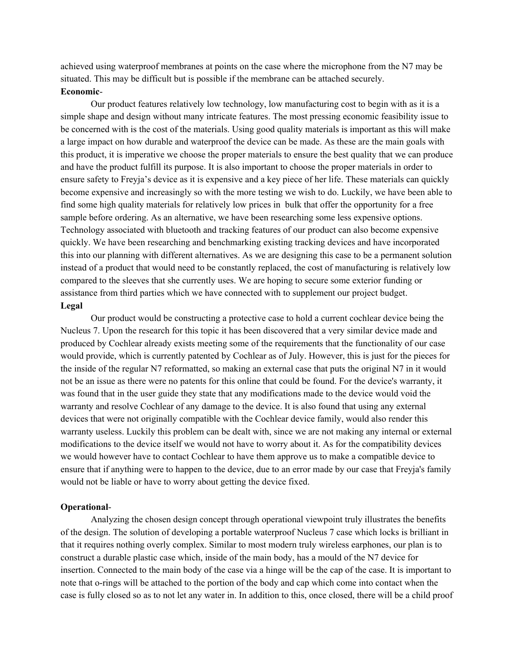achieved using waterproof membranes at points on the case where the microphone from the N7 may be situated. This may be difficult but is possible if the membrane can be attached securely. **Economic**-

Our product features relatively low technology, low manufacturing cost to begin with as it is a simple shape and design without many intricate features. The most pressing economic feasibility issue to be concerned with is the cost of the materials. Using good quality materials is important as this will make a large impact on how durable and waterproof the device can be made. As these are the main goals with this product, it is imperative we choose the proper materials to ensure the best quality that we can produce and have the product fulfill its purpose. It is also important to choose the proper materials in order to ensure safety to Freyja's device as it is expensive and a key piece of her life. These materials can quickly become expensive and increasingly so with the more testing we wish to do. Luckily, we have been able to find some high quality materials for relatively low prices in bulk that offer the opportunity for a free sample before ordering. As an alternative, we have been researching some less expensive options. Technology associated with bluetooth and tracking features of our product can also become expensive quickly. We have been researching and benchmarking existing tracking devices and have incorporated this into our planning with different alternatives. As we are designing this case to be a permanent solution instead of a product that would need to be constantly replaced, the cost of manufacturing is relatively low compared to the sleeves that she currently uses. We are hoping to secure some exterior funding or assistance from third parties which we have connected with to supplement our project budget. **Legal**

Our product would be constructing a protective case to hold a current cochlear device being the Nucleus 7. Upon the research for this topic it has been discovered that a very similar device made and produced by Cochlear already exists meeting some of the requirements that the functionality of our case would provide, which is currently patented by Cochlear as of July. However, this is just for the pieces for the inside of the regular N7 reformatted, so making an external case that puts the original N7 in it would not be an issue as there were no patents for this online that could be found. For the device's warranty, it was found that in the user guide they state that any modifications made to the device would void the warranty and resolve Cochlear of any damage to the device. It is also found that using any external devices that were not originally compatible with the Cochlear device family, would also render this warranty useless. Luckily this problem can be dealt with, since we are not making any internal or external modifications to the device itself we would not have to worry about it. As for the compatibility devices we would however have to contact Cochlear to have them approve us to make a compatible device to ensure that if anything were to happen to the device, due to an error made by our case that Freyja's family would not be liable or have to worry about getting the device fixed.

#### **Operational**-

Analyzing the chosen design concept through operational viewpoint truly illustrates the benefits of the design. The solution of developing a portable waterproof Nucleus 7 case which locks is brilliant in that it requires nothing overly complex. Similar to most modern truly wireless earphones, our plan is to construct a durable plastic case which, inside of the main body, has a mould of the N7 device for insertion. Connected to the main body of the case via a hinge will be the cap of the case. It is important to note that o-rings will be attached to the portion of the body and cap which come into contact when the case is fully closed so as to not let any water in. In addition to this, once closed, there will be a child proof